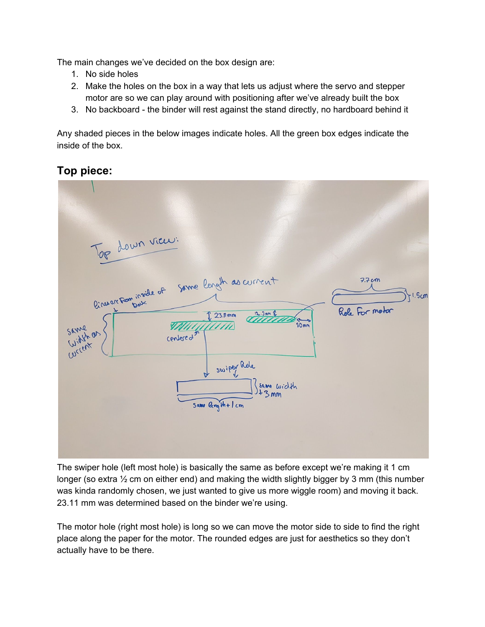The main changes we've decided on the box design are:

- 1. No side holes
- 2. Make the holes on the box in a way that lets us adjust where the servo and stepper motor are so we can play around with positioning after we've already built the box
- 3. No backboard the binder will rest against the stand directly, no hardboard behind it

Any shaded pieces in the below images indicate holes. All the green box edges indicate the inside of the box.

## **Top piece:**



The swiper hole (left most hole) is basically the same as before except we're making it 1 cm longer (so extra  $\frac{1}{2}$  cm on either end) and making the width slightly bigger by 3 mm (this number was kinda randomly chosen, we just wanted to give us more wiggle room) and moving it back. 23.11 mm was determined based on the binder we're using.

The motor hole (right most hole) is long so we can move the motor side to side to find the right place along the paper for the motor. The rounded edges are just for aesthetics so they don't actually have to be there.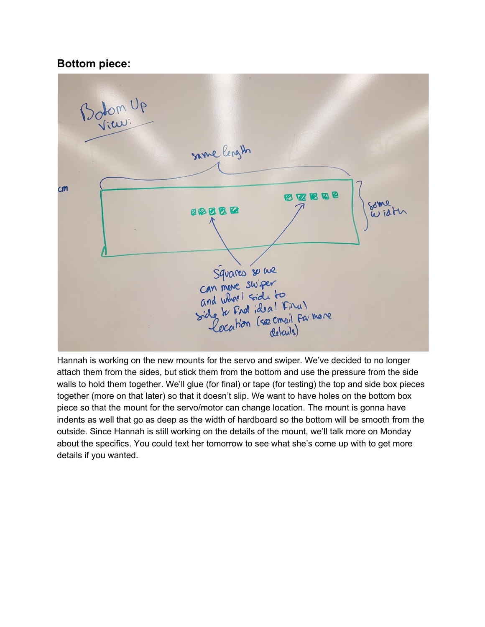## **Bottom piece:**



Hannah is working on the new mounts for the servo and swiper. We've decided to no longer attach them from the sides, but stick them from the bottom and use the pressure from the side walls to hold them together. We'll glue (for final) or tape (for testing) the top and side box pieces together (more on that later) so that it doesn't slip. We want to have holes on the bottom box piece so that the mount for the servo/motor can change location. The mount is gonna have indents as well that go as deep as the width of hardboard so the bottom will be smooth from the outside. Since Hannah is still working on the details of the mount, we'll talk more on Monday about the specifics. You could text her tomorrow to see what she's come up with to get more details if you wanted.